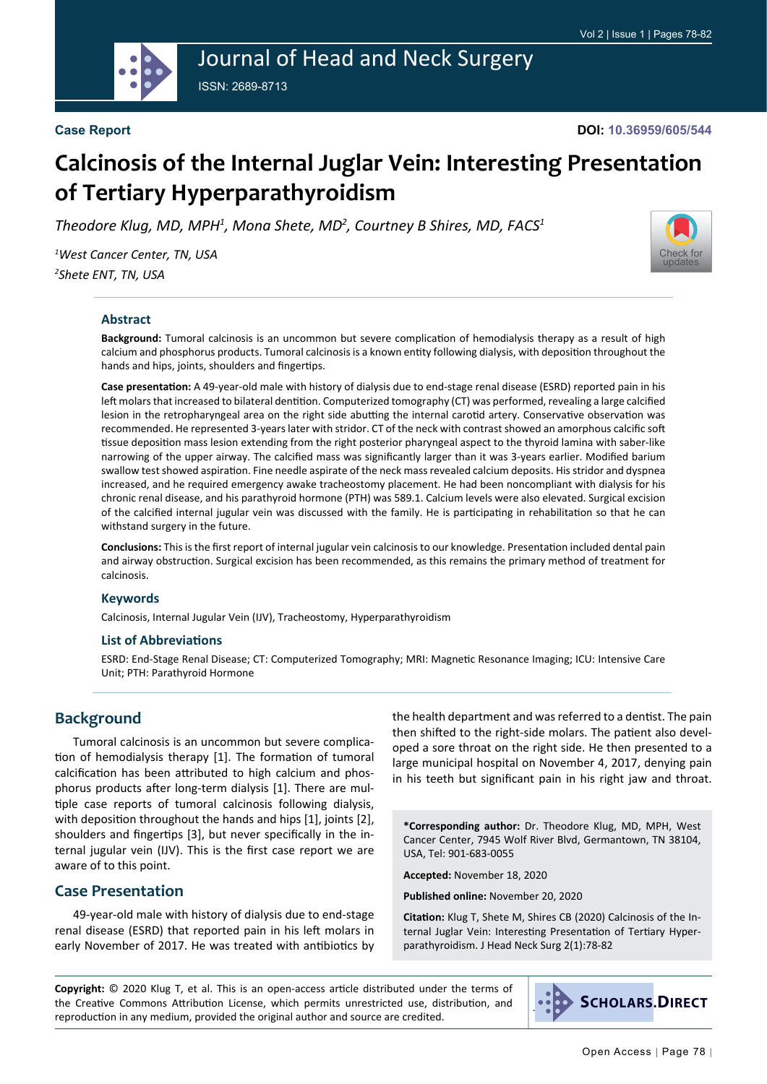

# Journal of Head and Neck Surgery ISSN: 2689-8713

**Case Report**

**DOI: 10.36959/605/544**

# **Calcinosis of the Internal Juglar Vein: Interesting Presentation of Tertiary Hyperparathyroidism**

Theodore Klug, MD, MPH<sup>1</sup>, Mona Shete, MD<sup>2</sup>, Courtney B Shires, MD, FACS<sup>1</sup>

*1 West Cancer Center, TN, USA 2 Shete ENT, TN, USA*



#### **Abstract**

**Background:** Tumoral calcinosis is an uncommon but severe complication of hemodialysis therapy as a result of high calcium and phosphorus products. Tumoral calcinosis is a known entity following dialysis, with deposition throughout the hands and hips, joints, shoulders and fingertips.

**Case presentation:** A 49-year-old male with history of dialysis due to end-stage renal disease (ESRD) reported pain in his left molars that increased to bilateral dentition. Computerized tomography (CT) was performed, revealing a large calcified lesion in the retropharyngeal area on the right side abutting the internal carotid artery. Conservative observation was recommended. He represented 3-years later with stridor. CT of the neck with contrast showed an amorphous calcific soft tissue deposition mass lesion extending from the right posterior pharyngeal aspect to the thyroid lamina with saber-like narrowing of the upper airway. The calcified mass was significantly larger than it was 3-years earlier. Modified barium swallow test showed aspiration. Fine needle aspirate of the neck mass revealed calcium deposits. His stridor and dyspnea increased, and he required emergency awake tracheostomy placement. He had been noncompliant with dialysis for his chronic renal disease, and his parathyroid hormone (PTH) was 589.1. Calcium levels were also elevated. Surgical excision of the calcified internal jugular vein was discussed with the family. He is participating in rehabilitation so that he can withstand surgery in the future.

**Conclusions:** This is the first report of internal jugular vein calcinosis to our knowledge. Presentation included dental pain and airway obstruction. Surgical excision has been recommended, as this remains the primary method of treatment for calcinosis.

#### **Keywords**

Calcinosis, Internal Jugular Vein (IJV), Tracheostomy, Hyperparathyroidism

#### **List of Abbreviations**

ESRD: End-Stage Renal Disease; CT: Computerized Tomography; MRI: Magnetic Resonance Imaging; ICU: Intensive Care Unit; PTH: Parathyroid Hormone

# **Background**

Tumoral calcinosis is an uncommon but severe complication of hemodialysis therapy [1]. The formation of tumoral calcification has been attributed to high calcium and phosphorus products after long-term dialysis [1]. There are multiple case reports of tumoral calcinosis following dialysis, with deposition throughout the hands and hips [1], joints [2], shoulders and fingertips [3], but never specifically in the internal jugular vein (IJV). This is the first case report we are aware of to this point.

#### **Case Presentation**

49-year-old male with history of dialysis due to end-stage renal disease (ESRD) that reported pain in his left molars in early November of 2017. He was treated with antibiotics by the health department and was referred to a dentist. The pain then shifted to the right-side molars. The patient also developed a sore throat on the right side. He then presented to a large municipal hospital on November 4, 2017, denying pain in his teeth but significant pain in his right jaw and throat.

**\*Corresponding author:** Dr. Theodore Klug, MD, MPH, West Cancer Center, 7945 Wolf River Blvd, Germantown, TN 38104, USA, Tel: 901-683-0055

**Accepted:** November 18, 2020

**Published online:** November 20, 2020

**Citation:** Klug T, Shete M, Shires CB (2020) Calcinosis of the Internal Juglar Vein: Interesting Presentation of Tertiary Hyperparathyroidism. J Head Neck Surg 2(1):78-82

**Copyright:** © 2020 Klug T, et al. This is an open-access article distributed under the terms of the Creative Commons Attribution License, which permits unrestricted use, distribution, and reproduction in any medium, provided the original author and source are credited.

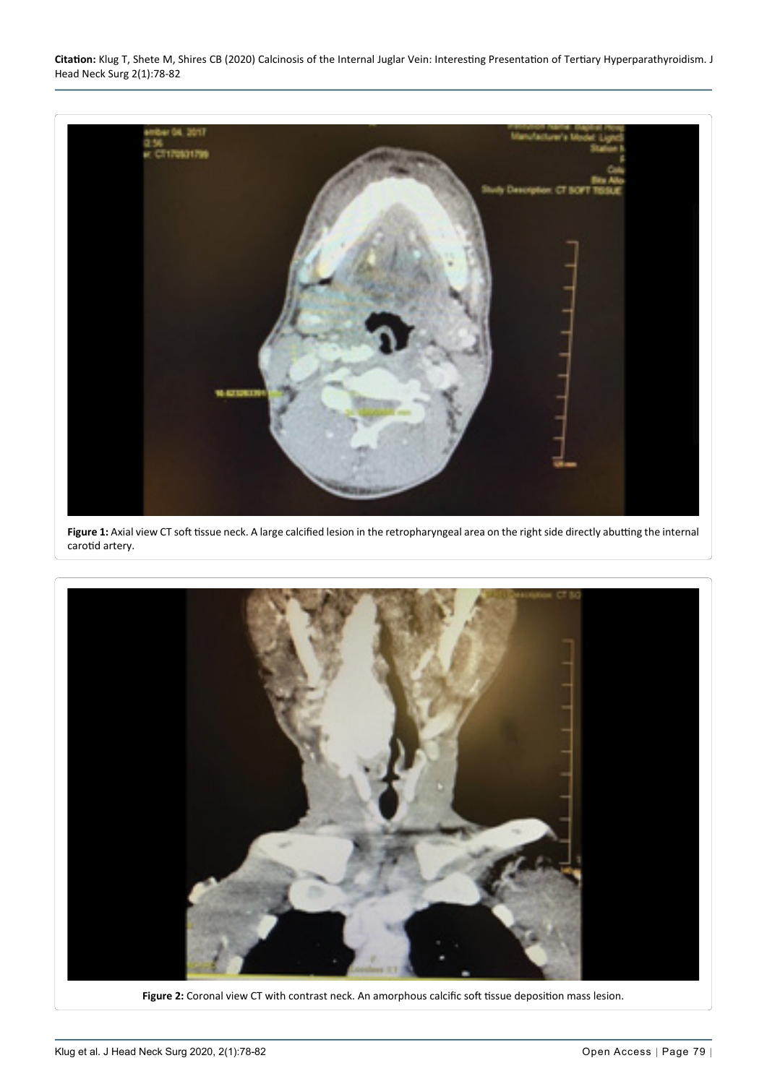**Citation:** Klug T, Shete M, Shires CB (2020) Calcinosis of the Internal Juglar Vein: Interesting Presentation of Tertiary Hyperparathyroidism. J Head Neck Surg 2(1):78-82

<span id="page-1-0"></span>

Figure 1: Axial view CT soft tissue neck. A large calcified lesion in the retropharyngeal area on the right side directly abutting the internal carotid artery.

<span id="page-1-1"></span>

**Figure 2:** Coronal view CT with contrast neck. An amorphous calcific soft tissue deposition mass lesion.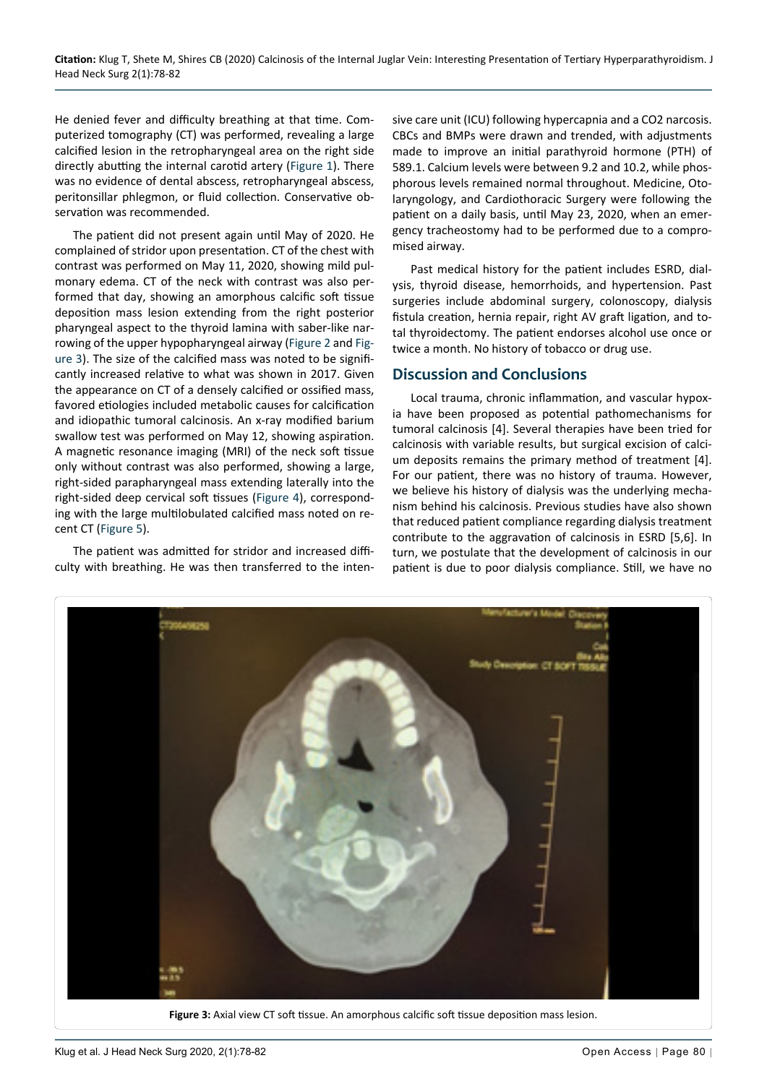He denied fever and difficulty breathing at that time. Computerized tomography (CT) was performed, revealing a large calcified lesion in the retropharyngeal area on the right side directly abutting the internal carotid artery [\(Figure 1\)](#page-1-0). There was no evidence of dental abscess, retropharyngeal abscess, peritonsillar phlegmon, or fluid collection. Conservative observation was recommended.

The patient did not present again until May of 2020. He complained of stridor upon presentation. CT of the chest with contrast was performed on May 11, 2020, showing mild pulmonary edema. CT of the neck with contrast was also performed that day, showing an amorphous calcific soft tissue deposition mass lesion extending from the right posterior pharyngeal aspect to the thyroid lamina with saber-like narrowing of the upper hypopharyngeal airway [\(Figure 2](#page-1-1) and [Fig](#page-2-0)[ure 3\)](#page-2-0). The size of the calcified mass was noted to be significantly increased relative to what was shown in 2017. Given the appearance on CT of a densely calcified or ossified mass, favored etiologies included metabolic causes for calcification and idiopathic tumoral calcinosis. An x-ray modified barium swallow test was performed on May 12, showing aspiration. A magnetic resonance imaging (MRI) of the neck soft tissue only without contrast was also performed, showing a large, right-sided parapharyngeal mass extending laterally into the right-sided deep cervical soft tissues [\(Figure 4](#page-3-0)), corresponding with the large multilobulated calcified mass noted on recent CT [\(Figure 5\)](#page-3-1).

The patient was admitted for stridor and increased difficulty with breathing. He was then transferred to the intensive care unit (ICU) following hypercapnia and a CO2 narcosis. CBCs and BMPs were drawn and trended, with adjustments made to improve an initial parathyroid hormone (PTH) of 589.1. Calcium levels were between 9.2 and 10.2, while phosphorous levels remained normal throughout. Medicine, Otolaryngology, and Cardiothoracic Surgery were following the patient on a daily basis, until May 23, 2020, when an emergency tracheostomy had to be performed due to a compromised airway.

Past medical history for the patient includes ESRD, dialysis, thyroid disease, hemorrhoids, and hypertension. Past surgeries include abdominal surgery, colonoscopy, dialysis fistula creation, hernia repair, right AV graft ligation, and total thyroidectomy. The patient endorses alcohol use once or twice a month. No history of tobacco or drug use.

#### **Discussion and Conclusions**

Local trauma, chronic inflammation, and vascular hypoxia have been proposed as potential pathomechanisms for tumoral calcinosis [4]. Several therapies have been tried for calcinosis with variable results, but surgical excision of calcium deposits remains the primary method of treatment [4]. For our patient, there was no history of trauma. However, we believe his history of dialysis was the underlying mechanism behind his calcinosis. Previous studies have also shown that reduced patient compliance regarding dialysis treatment contribute to the aggravation of calcinosis in ESRD [5,6]. In turn, we postulate that the development of calcinosis in our patient is due to poor dialysis compliance. Still, we have no

<span id="page-2-0"></span>

**Figure 3:** Axial view CT soft tissue. An amorphous calcific soft tissue deposition mass lesion.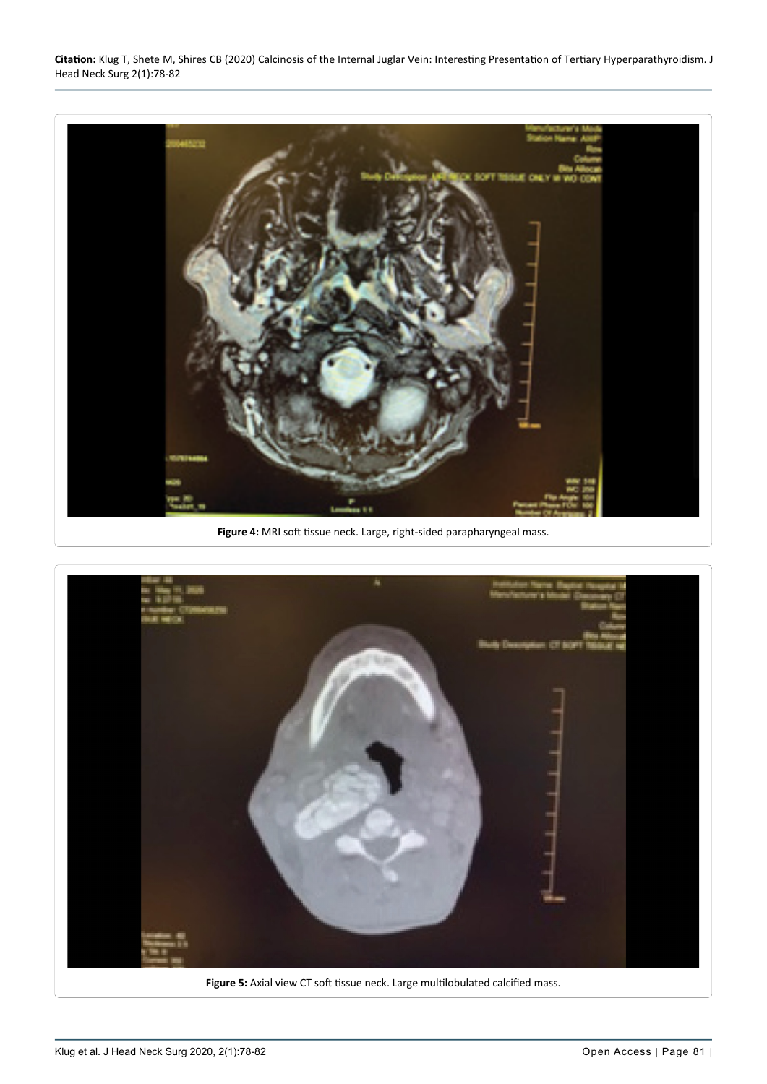**Citation:** Klug T, Shete M, Shires CB (2020) Calcinosis of the Internal Juglar Vein: Interesting Presentation of Tertiary Hyperparathyroidism. J Head Neck Surg 2(1):78-82

<span id="page-3-0"></span>

**Figure 4:** MRI soft tissue neck. Large, right-sided parapharyngeal mass.

<span id="page-3-1"></span>